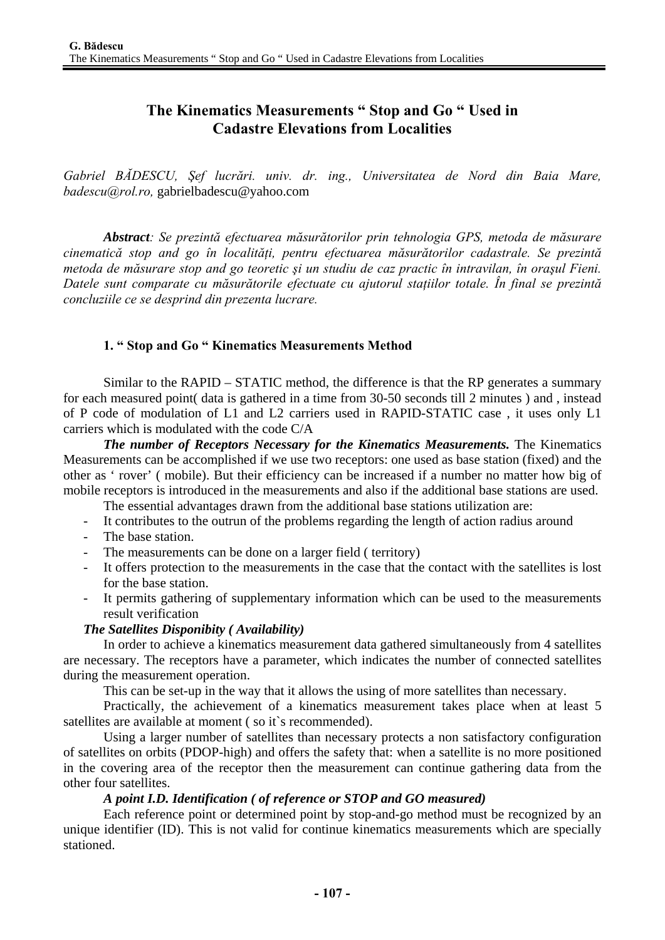# **The Kinematics Measurements " Stop and Go " Used in Cadastre Elevations from Localities**

*Gabriel BĂDESCU, Şef lucrări. univ. dr. ing., Universitatea de Nord din Baia Mare, badescu@rol.ro,* gabrielbadescu@yahoo.com

*Abstract: Se prezintă efectuarea măsurătorilor prin tehnologia GPS, metoda de măsurare cinematică stop and go în localităţi, pentru efectuarea măsurătorilor cadastrale. Se prezintă metoda de măsurare stop and go teoretic şi un studiu de caz practic în intravilan, în oraşul Fieni. Datele sunt comparate cu măsurătorile efectuate cu ajutorul staţiilor totale. În final se prezintă concluziile ce se desprind din prezenta lucrare.* 

# **1. " Stop and Go " Kinematics Measurements Method**

Similar to the RAPID – STATIC method, the difference is that the RP generates a summary for each measured point( data is gathered in a time from 30-50 seconds till 2 minutes ) and , instead of P code of modulation of L1 and L2 carriers used in RAPID-STATIC case , it uses only L1 carriers which is modulated with the code C/A

*The number of Receptors Necessary for the Kinematics Measurements.* **The Kinematics** Measurements can be accomplished if we use two receptors: one used as base station (fixed) and the other as ' rover' ( mobile). But their efficiency can be increased if a number no matter how big of mobile receptors is introduced in the measurements and also if the additional base stations are used.

- The essential advantages drawn from the additional base stations utilization are:
- It contributes to the outrun of the problems regarding the length of action radius around
- The base station.
- The measurements can be done on a larger field ( territory)
- It offers protection to the measurements in the case that the contact with the satellites is lost for the base station.
- It permits gathering of supplementary information which can be used to the measurements result verification

#### *The Satellites Disponibity ( Availability)*

In order to achieve a kinematics measurement data gathered simultaneously from 4 satellites are necessary. The receptors have a parameter, which indicates the number of connected satellites during the measurement operation.

This can be set-up in the way that it allows the using of more satellites than necessary.

Practically, the achievement of a kinematics measurement takes place when at least 5 satellites are available at moment (so it's recommended).

Using a larger number of satellites than necessary protects a non satisfactory configuration of satellites on orbits (PDOP-high) and offers the safety that: when a satellite is no more positioned in the covering area of the receptor then the measurement can continue gathering data from the other four satellites.

#### *A point I.D. Identification ( of reference or STOP and GO measured)*

Each reference point or determined point by stop-and-go method must be recognized by an unique identifier (ID). This is not valid for continue kinematics measurements which are specially stationed.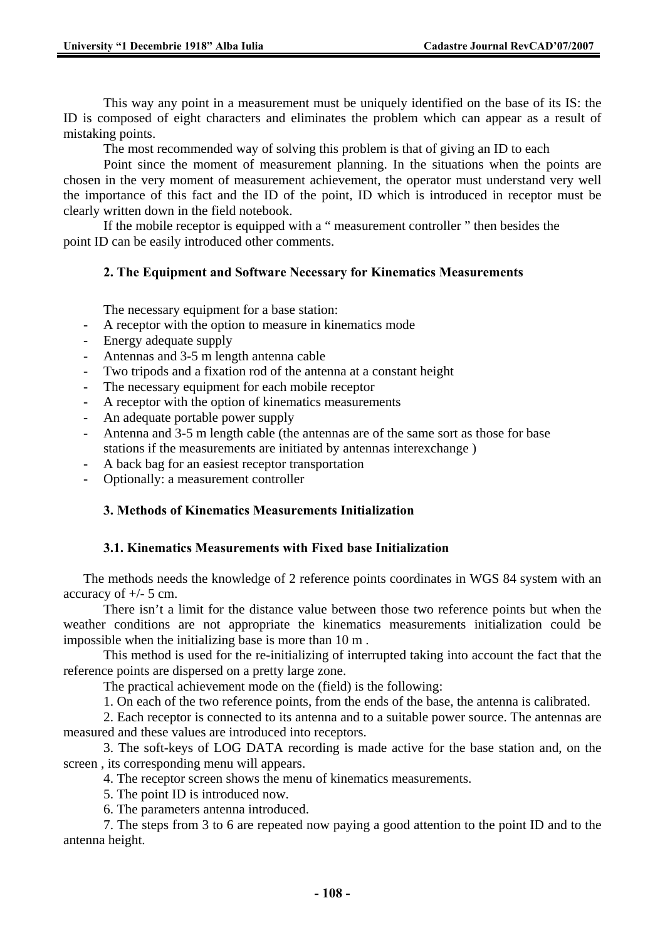This way any point in a measurement must be uniquely identified on the base of its IS: the ID is composed of eight characters and eliminates the problem which can appear as a result of mistaking points.

The most recommended way of solving this problem is that of giving an ID to each

Point since the moment of measurement planning. In the situations when the points are chosen in the very moment of measurement achievement, the operator must understand very well the importance of this fact and the ID of the point, ID which is introduced in receptor must be clearly written down in the field notebook.

If the mobile receptor is equipped with a " measurement controller " then besides the point ID can be easily introduced other comments.

# **2. The Equipment and Software Necessary for Kinematics Measurements**

The necessary equipment for a base station:

- A receptor with the option to measure in kinematics mode
- Energy adequate supply
- Antennas and 3-5 m length antenna cable
- Two tripods and a fixation rod of the antenna at a constant height
- The necessary equipment for each mobile receptor
- A receptor with the option of kinematics measurements
- An adequate portable power supply
- Antenna and 3-5 m length cable (the antennas are of the same sort as those for base stations if the measurements are initiated by antennas interexchange )
- A back bag for an easiest receptor transportation
- Optionally: a measurement controller

# **3. Methods of Kinematics Measurements Initialization**

#### **3.1. Kinematics Measurements with Fixed base Initialization**

The methods needs the knowledge of 2 reference points coordinates in WGS 84 system with an accuracy of  $+/-$  5 cm.

There isn't a limit for the distance value between those two reference points but when the weather conditions are not appropriate the kinematics measurements initialization could be impossible when the initializing base is more than 10 m .

This method is used for the re-initializing of interrupted taking into account the fact that the reference points are dispersed on a pretty large zone.

The practical achievement mode on the (field) is the following:

1. On each of the two reference points, from the ends of the base, the antenna is calibrated.

2. Each receptor is connected to its antenna and to a suitable power source. The antennas are measured and these values are introduced into receptors.

3. The soft-keys of LOG DATA recording is made active for the base station and, on the screen , its corresponding menu will appears.

4. The receptor screen shows the menu of kinematics measurements.

5. The point ID is introduced now.

6. The parameters antenna introduced.

7. The steps from 3 to 6 are repeated now paying a good attention to the point ID and to the antenna height.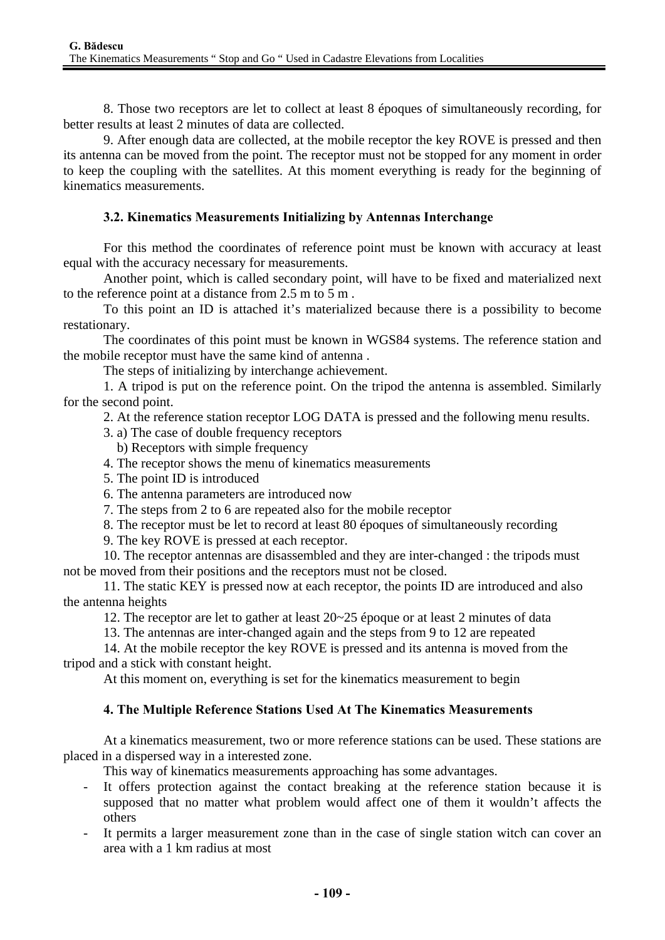8. Those two receptors are let to collect at least 8 époques of simultaneously recording, for better results at least 2 minutes of data are collected.

9. After enough data are collected, at the mobile receptor the key ROVE is pressed and then its antenna can be moved from the point. The receptor must not be stopped for any moment in order to keep the coupling with the satellites. At this moment everything is ready for the beginning of kinematics measurements.

# **3.2. Kinematics Measurements Initializing by Antennas Interchange**

For this method the coordinates of reference point must be known with accuracy at least equal with the accuracy necessary for measurements.

Another point, which is called secondary point, will have to be fixed and materialized next to the reference point at a distance from 2.5 m to 5 m .

To this point an ID is attached it's materialized because there is a possibility to become restationary.

The coordinates of this point must be known in WGS84 systems. The reference station and the mobile receptor must have the same kind of antenna .

The steps of initializing by interchange achievement.

1. A tripod is put on the reference point. On the tripod the antenna is assembled. Similarly for the second point.

2. At the reference station receptor LOG DATA is pressed and the following menu results.

- 3. a) The case of double frequency receptors
	- b) Receptors with simple frequency
- 4. The receptor shows the menu of kinematics measurements
- 5. The point ID is introduced
- 6. The antenna parameters are introduced now
- 7. The steps from 2 to 6 are repeated also for the mobile receptor
- 8. The receptor must be let to record at least 80 époques of simultaneously recording

9. The key ROVE is pressed at each receptor.

10. The receptor antennas are disassembled and they are inter-changed : the tripods must not be moved from their positions and the receptors must not be closed.

11. The static KEY is pressed now at each receptor, the points ID are introduced and also the antenna heights

12. The receptor are let to gather at least 20~25 époque or at least 2 minutes of data

13. The antennas are inter-changed again and the steps from 9 to 12 are repeated

14. At the mobile receptor the key ROVE is pressed and its antenna is moved from the tripod and a stick with constant height.

At this moment on, everything is set for the kinematics measurement to begin

# **4. The Multiple Reference Stations Used At The Kinematics Measurements**

At a kinematics measurement, two or more reference stations can be used. These stations are placed in a dispersed way in a interested zone.

This way of kinematics measurements approaching has some advantages.

- It offers protection against the contact breaking at the reference station because it is supposed that no matter what problem would affect one of them it wouldn't affects the others
- It permits a larger measurement zone than in the case of single station witch can cover an area with a 1 km radius at most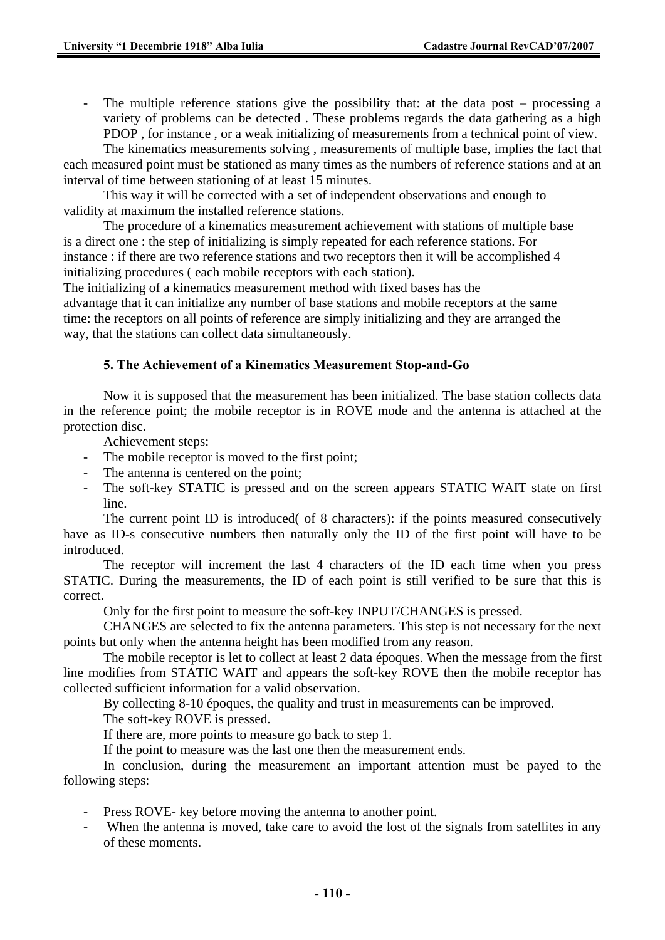- The multiple reference stations give the possibility that: at the data post – processing a variety of problems can be detected . These problems regards the data gathering as a high PDOP , for instance , or a weak initializing of measurements from a technical point of view. The kinematics measurements solving , measurements of multiple base, implies the fact that

each measured point must be stationed as many times as the numbers of reference stations and at an interval of time between stationing of at least 15 minutes.

This way it will be corrected with a set of independent observations and enough to validity at maximum the installed reference stations.

The procedure of a kinematics measurement achievement with stations of multiple base is a direct one : the step of initializing is simply repeated for each reference stations. For instance : if there are two reference stations and two receptors then it will be accomplished 4 initializing procedures ( each mobile receptors with each station).

The initializing of a kinematics measurement method with fixed bases has the advantage that it can initialize any number of base stations and mobile receptors at the same time: the receptors on all points of reference are simply initializing and they are arranged the way, that the stations can collect data simultaneously.

### **5. The Achievement of a Kinematics Measurement Stop-and-Go**

Now it is supposed that the measurement has been initialized. The base station collects data in the reference point; the mobile receptor is in ROVE mode and the antenna is attached at the protection disc.

Achievement steps:

- The mobile receptor is moved to the first point;
- The antenna is centered on the point;
- The soft-key STATIC is pressed and on the screen appears STATIC WAIT state on first line.

The current point ID is introduced( of 8 characters): if the points measured consecutively have as ID-s consecutive numbers then naturally only the ID of the first point will have to be introduced.

The receptor will increment the last 4 characters of the ID each time when you press STATIC. During the measurements, the ID of each point is still verified to be sure that this is correct.

Only for the first point to measure the soft-key INPUT/CHANGES is pressed.

CHANGES are selected to fix the antenna parameters. This step is not necessary for the next points but only when the antenna height has been modified from any reason.

The mobile receptor is let to collect at least 2 data époques. When the message from the first line modifies from STATIC WAIT and appears the soft-key ROVE then the mobile receptor has collected sufficient information for a valid observation.

By collecting 8-10 époques, the quality and trust in measurements can be improved.

The soft-key ROVE is pressed.

If there are, more points to measure go back to step 1.

If the point to measure was the last one then the measurement ends.

In conclusion, during the measurement an important attention must be payed to the following steps:

- Press ROVE- key before moving the antenna to another point.
- When the antenna is moved, take care to avoid the lost of the signals from satellites in any of these moments.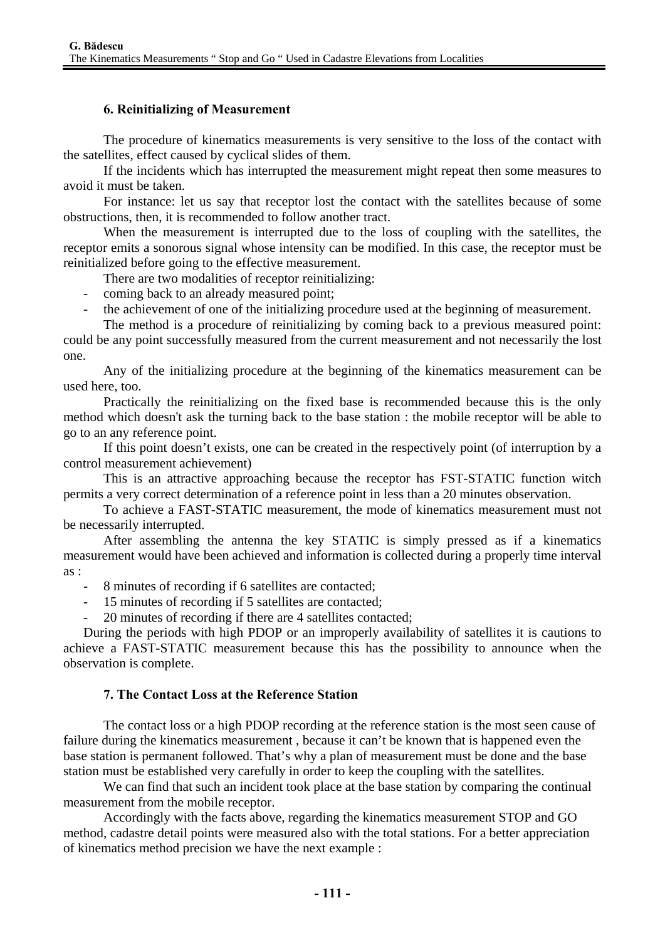#### **6. Reinitializing of Measurement**

The procedure of kinematics measurements is very sensitive to the loss of the contact with the satellites, effect caused by cyclical slides of them.

If the incidents which has interrupted the measurement might repeat then some measures to avoid it must be taken.

For instance: let us say that receptor lost the contact with the satellites because of some obstructions, then, it is recommended to follow another tract.

When the measurement is interrupted due to the loss of coupling with the satellites, the receptor emits a sonorous signal whose intensity can be modified. In this case, the receptor must be reinitialized before going to the effective measurement.

There are two modalities of receptor reinitializing:

- coming back to an already measured point;
	- the achievement of one of the initializing procedure used at the beginning of measurement.

The method is a procedure of reinitializing by coming back to a previous measured point: could be any point successfully measured from the current measurement and not necessarily the lost one.

Any of the initializing procedure at the beginning of the kinematics measurement can be used here, too.

Practically the reinitializing on the fixed base is recommended because this is the only method which doesn't ask the turning back to the base station : the mobile receptor will be able to go to an any reference point.

If this point doesn't exists, one can be created in the respectively point (of interruption by a control measurement achievement)

This is an attractive approaching because the receptor has FST-STATIC function witch permits a very correct determination of a reference point in less than a 20 minutes observation.

To achieve a FAST-STATIC measurement, the mode of kinematics measurement must not be necessarily interrupted.

After assembling the antenna the key STATIC is simply pressed as if a kinematics measurement would have been achieved and information is collected during a properly time interval as :

- 8 minutes of recording if 6 satellites are contacted;
- 15 minutes of recording if 5 satellites are contacted;
- 20 minutes of recording if there are 4 satellites contacted;

During the periods with high PDOP or an improperly availability of satellites it is cautions to achieve a FAST-STATIC measurement because this has the possibility to announce when the observation is complete.

#### **7. The Contact Loss at the Reference Station**

The contact loss or a high PDOP recording at the reference station is the most seen cause of failure during the kinematics measurement , because it can't be known that is happened even the base station is permanent followed. That's why a plan of measurement must be done and the base station must be established very carefully in order to keep the coupling with the satellites.

We can find that such an incident took place at the base station by comparing the continual measurement from the mobile receptor.

Accordingly with the facts above, regarding the kinematics measurement STOP and GO method, cadastre detail points were measured also with the total stations. For a better appreciation of kinematics method precision we have the next example :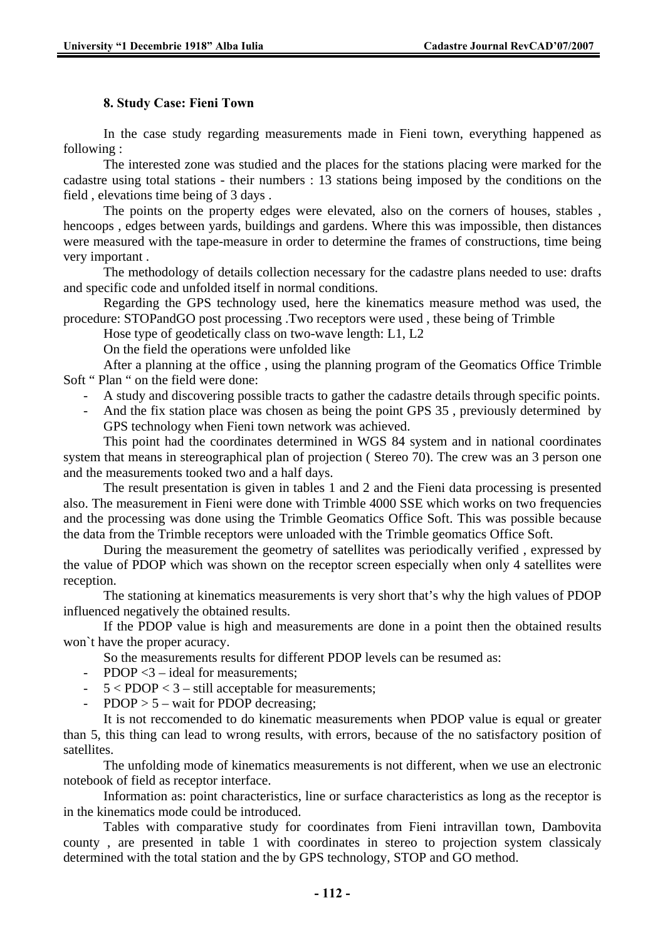#### **8. Study Case: Fieni Town**

In the case study regarding measurements made in Fieni town, everything happened as following :

The interested zone was studied and the places for the stations placing were marked for the cadastre using total stations - their numbers : 13 stations being imposed by the conditions on the field , elevations time being of 3 days .

The points on the property edges were elevated, also on the corners of houses, stables , hencoops , edges between yards, buildings and gardens. Where this was impossible, then distances were measured with the tape-measure in order to determine the frames of constructions, time being very important .

The methodology of details collection necessary for the cadastre plans needed to use: drafts and specific code and unfolded itself in normal conditions.

Regarding the GPS technology used, here the kinematics measure method was used, the procedure: STOPandGO post processing .Two receptors were used , these being of Trimble

Hose type of geodetically class on two-wave length: L1, L2

On the field the operations were unfolded like

After a planning at the office , using the planning program of the Geomatics Office Trimble Soft " Plan " on the field were done:

- A study and discovering possible tracts to gather the cadastre details through specific points.
- And the fix station place was chosen as being the point GPS 35 , previously determined by GPS technology when Fieni town network was achieved.

This point had the coordinates determined in WGS 84 system and in national coordinates system that means in stereographical plan of projection ( Stereo 70). The crew was an 3 person one and the measurements tooked two and a half days.

The result presentation is given in tables 1 and 2 and the Fieni data processing is presented also. The measurement in Fieni were done with Trimble 4000 SSE which works on two frequencies and the processing was done using the Trimble Geomatics Office Soft. This was possible because the data from the Trimble receptors were unloaded with the Trimble geomatics Office Soft.

During the measurement the geometry of satellites was periodically verified , expressed by the value of PDOP which was shown on the receptor screen especially when only 4 satellites were reception.

The stationing at kinematics measurements is very short that's why the high values of PDOP influenced negatively the obtained results.

If the PDOP value is high and measurements are done in a point then the obtained results won`t have the proper acuracy.

So the measurements results for different PDOP levels can be resumed as:

- PDOP <3 ideal for measurements:
- 5 < PDOP < 3 still acceptable for measurements;
- $PDOP > 5 wait for PDOP decreasing;$

It is not reccomended to do kinematic measurements when PDOP value is equal or greater than 5, this thing can lead to wrong results, with errors, because of the no satisfactory position of satellites.

The unfolding mode of kinematics measurements is not different, when we use an electronic notebook of field as receptor interface.

Information as: point characteristics, line or surface characteristics as long as the receptor is in the kinematics mode could be introduced.

Tables with comparative study for coordinates from Fieni intravillan town, Dambovita county , are presented in table 1 with coordinates in stereo to projection system classicaly determined with the total station and the by GPS technology, STOP and GO method.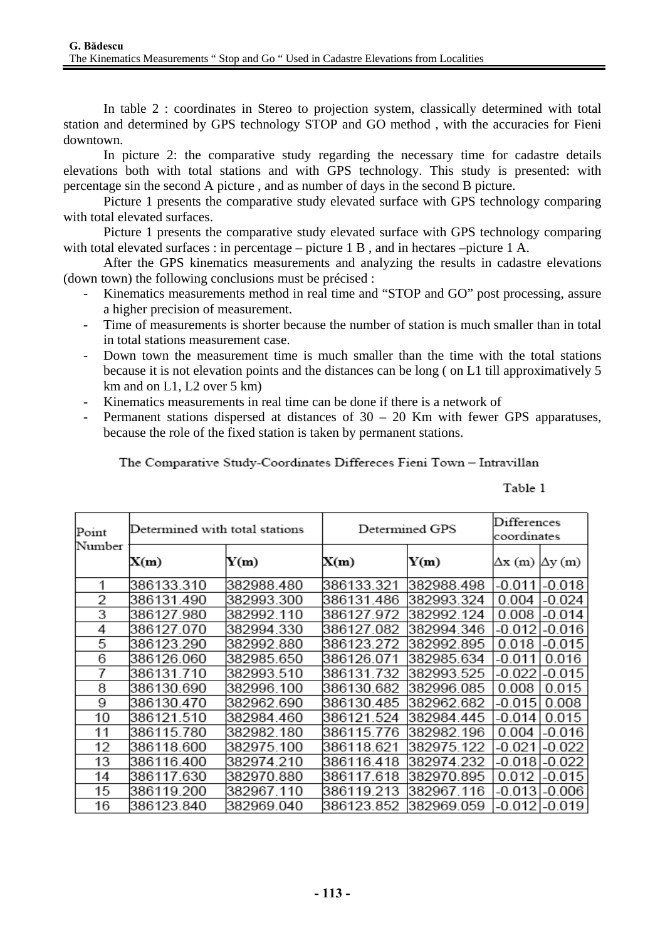In table 2 : coordinates in Stereo to projection system, classically determined with total station and determined by GPS technology STOP and GO method , with the accuracies for Fieni downtown.

In picture 2: the comparative study regarding the necessary time for cadastre details elevations both with total stations and with GPS technology. This study is presented: with percentage sin the second A picture , and as number of days in the second B picture.

Picture 1 presents the comparative study elevated surface with GPS technology comparing with total elevated surfaces.

Picture 1 presents the comparative study elevated surface with GPS technology comparing with total elevated surfaces : in percentage – picture 1 B , and in hectares –picture 1 A.

After the GPS kinematics measurements and analyzing the results in cadastre elevations (down town) the following conclusions must be précised :

- Kinematics measurements method in real time and "STOP and GO" post processing, assure a higher precision of measurement.
- Time of measurements is shorter because the number of station is much smaller than in total in total stations measurement case.
- Down town the measurement time is much smaller than the time with the total stations because it is not elevation points and the distances can be long ( on L1 till approximatively 5 km and on  $L1$ ,  $L2$  over 5 km)
- Kinematics measurements in real time can be done if there is a network of
- Permanent stations dispersed at distances of  $30 20$  Km with fewer GPS apparatuses, because the role of the fixed station is taken by permanent stations.

The Comparative Study-Coordinates Differeces Fieni Town - Intravillan

Table 1

| Point  | Determined with total stations |            | Determined GPS | Differences<br>coordinates |                               |
|--------|--------------------------------|------------|----------------|----------------------------|-------------------------------|
| Number | X(m)                           | Y(m)       | X(m)           | Y(m)                       | $\Delta x$ (m) $\Delta y$ (m) |
|        | 386133.310                     | 382988.480 | 386133.321     | 382988.498                 | $-0.011$<br>$-0.018$          |
| 2      | 386131.490                     | 382993.300 | 386131.486     | 382993.324                 | 0.004<br>-0.024               |
| 3      | 386127.980                     | 382992.110 | 386127.972     | 382992.124                 | $-0.014$<br>0.008             |
| 4      | 386127.070                     | 382994.330 | 386127.082     | 382994.346                 | $-0.016$<br>$-0.012$          |
| 5      | 386123.290                     | 382992.880 | 386123.272     | 382992.895                 | 0.018<br>-0.015               |
| 6      | 386126.060                     | 382985.650 | 386126.071     | 382985.634                 | 0.016<br>-0.011               |
| 7      | 386131.710                     | 382993.510 | 386131.732     | 382993.525                 | $-0.015$<br>$-0.022$          |
| 8      | 386130.690                     | 382996.100 | 386130.682     | 382996.085                 | 0.008<br>0.015                |
| 9      | 386130.470                     | 382962.690 | 386130.485     | 382962.682                 | 0.008<br>$-0.015$             |
| 10     | 386121.510                     | 382984.460 | 386121.524     | 382984.445                 | 0.015<br>$-0.014$             |
| 11     | 386115.780                     | 382982.180 | 386115.776     | 382982.196                 | -0.016<br>0.004               |
| 12     | 386118.600                     | 382975.100 | 386118.621     | 382975.122                 | $-0.021$<br>-0.022            |
| 13     | 386116.400                     | 382974.210 | 386116.418     | 382974.232                 | $-0.022$<br>$-0.018$          |
| 14     | 386117.630                     | 382970.880 | 386117.618     | 382970.895                 | 0.012<br>-0.015               |
| 15     | 386119.200                     | 382967.110 | 386119.213     | 382967.116                 | $-0.013$<br>-0.006            |
| 16     | 386123.840                     | 382969.040 | 386123.852     | 382969.059                 | $-0.012$<br>-0.019            |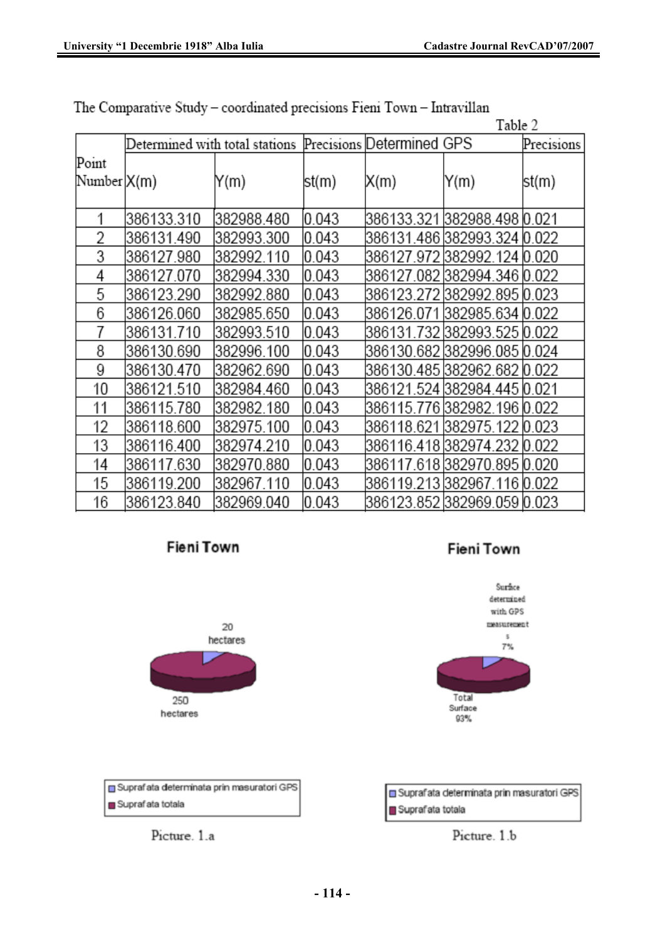|                      |            |                                |        |                           |                               | Table 2    |  |
|----------------------|------------|--------------------------------|--------|---------------------------|-------------------------------|------------|--|
|                      |            | Determined with total stations |        | Precisions Determined GPS |                               | Precisions |  |
| Point<br>Number X(m) |            | Y(m)                           | lst(m) | X(m)                      | Y(m)                          | st(m)      |  |
|                      | 386133.310 | 382988.480                     | 0.043  |                           | 386133.321 382988.498 0.021   |            |  |
| 2                    | 386131.490 | 382993.300                     | 0.043  |                           | 386131.486 382993.324 0.022   |            |  |
| 3                    | 386127.980 | 382992.110                     | 0.043  |                           | 386127.972 382992.124 0.020   |            |  |
| 4                    | 386127.070 | 382994.330                     | 0.043  |                           | 386127.082 382994.346 0.022   |            |  |
| 5                    | 386123.290 | 382992.880                     | 0.043  |                           | 386123.272 382992.895 0.023   |            |  |
| 6                    | 386126.060 | 382985.650                     | 0.043  |                           | 386126.071 382985.634 0.022   |            |  |
| 7                    | 386131.710 | 382993.510                     | 0.043  |                           | 386131.732 382993.525 0.022   |            |  |
| 8                    | 386130.690 | 382996.100                     | 0.043  |                           | 386130.682 382996.085 0.024   |            |  |
| 9                    | 386130.470 | 382962.690                     | 0.043  |                           | 386130.485 382962.682  0.022  |            |  |
| 10                   | 386121.510 | 382984.460                     | 0.043  |                           | 386121.524 382984.445 0.021   |            |  |
| 11                   | 386115.780 | 382982.180                     | 0.043  |                           | 386115.776 382982.196 0.022   |            |  |
| 12                   | 386118.600 | 382975.100                     | 0.043  |                           | 386118.621 382975.122 0.023   |            |  |
| 13                   | 386116.400 | 382974.210                     | 0.043  |                           | 386116.418 382974.232   0.022 |            |  |
| 14                   | 386117.630 | 382970.880                     | 0.043  |                           | 386117.618 382970.895 0.020   |            |  |
| 15                   | 386119.200 | 382967.110                     | 0.043  |                           | 386119.213 382967.116 0.022   |            |  |
| 16                   | 386123.840 | 382969.040                     | 0.043  |                           | 386123.852 382969.059 0.023   |            |  |





Suprafata determinata prin masuratori GPS Suprafata totala



Fieni Town



| Suprafata determinata prin masuratori GPS |
|-------------------------------------------|
| Suprafata totala                          |

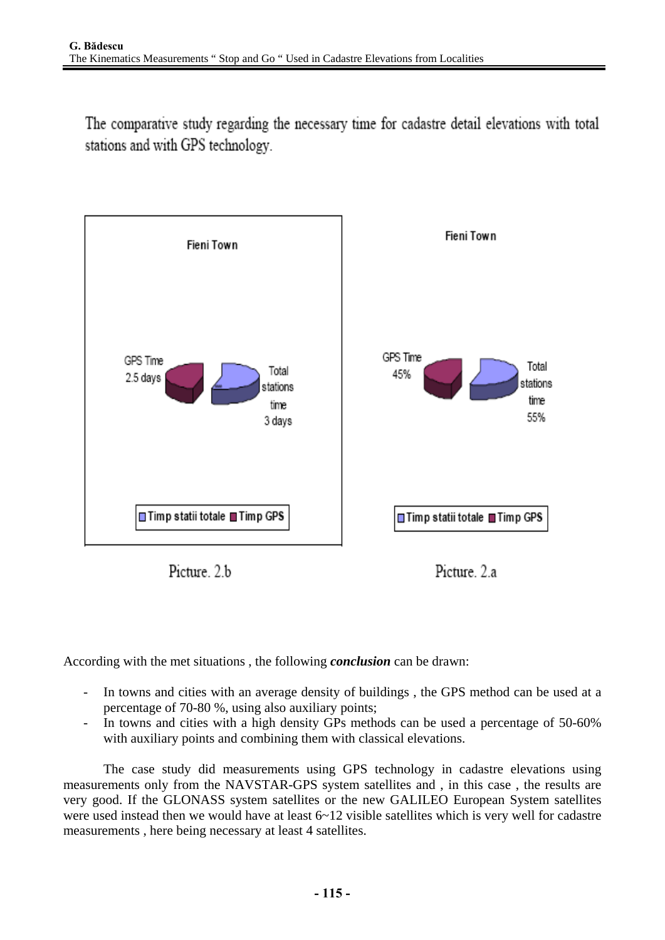The comparative study regarding the necessary time for cadastre detail elevations with total stations and with GPS technology.



Picture 2 b

Picture 2 a

According with the met situations , the following *conclusion* can be drawn:

- In towns and cities with an average density of buildings , the GPS method can be used at a percentage of 70-80 %, using also auxiliary points;
- In towns and cities with a high density GPs methods can be used a percentage of 50-60% with auxiliary points and combining them with classical elevations.

The case study did measurements using GPS technology in cadastre elevations using measurements only from the NAVSTAR-GPS system satellites and , in this case , the results are very good. If the GLONASS system satellites or the new GALILEO European System satellites were used instead then we would have at least 6~12 visible satellites which is very well for cadastre measurements , here being necessary at least 4 satellites.